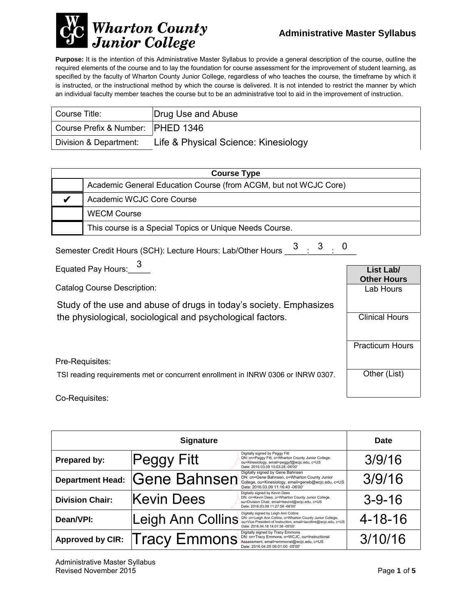

 $\sim$ 

**Purpose:** It is the intention of this Administrative Master Syllabus to provide a general description of the course, outline the required elements of the course and to lay the foundation for course assessment for the improvement of student learning, as specified by the faculty of Wharton County Junior College, regardless of who teaches the course, the timeframe by which it is instructed, or the instructional method by which the course is delivered. It is not intended to restrict the manner by which an individual faculty member teaches the course but to be an administrative tool to aid in the improvement of instruction.

| Course Title:                      | Drug Use and Abuse                   |
|------------------------------------|--------------------------------------|
| Course Prefix & Number:  PHED 1346 |                                      |
| Division & Department:             | Life & Physical Science: Kinesiology |

| <b>Course Type</b> |                                                                  |  |
|--------------------|------------------------------------------------------------------|--|
|                    | Academic General Education Course (from ACGM, but not WCJC Core) |  |
|                    | Academic WCJC Core Course                                        |  |
|                    | <b>WECM Course</b>                                               |  |
|                    | This course is a Special Topics or Unique Needs Course.          |  |

| Semester Credit Hours (SCH): Lecture Hours: Lab/Other Hours 3 3 3 0 |  |  |  |
|---------------------------------------------------------------------|--|--|--|
|                                                                     |  |  |  |

| Equated Pay Hours: 3                                                             | List Lab/<br><b>Other Hours</b> |
|----------------------------------------------------------------------------------|---------------------------------|
| Catalog Course Description:                                                      | Lab Hours                       |
| Study of the use and abuse of drugs in today's society. Emphasizes               |                                 |
| the physiological, sociological and psychological factors.                       | <b>Clinical Hours</b>           |
|                                                                                  |                                 |
|                                                                                  | <b>Practicum Hours</b>          |
| Pre-Requisites:                                                                  |                                 |
| TSI reading requirements met or concurrent enrollment in INRW 0306 or INRW 0307. | Other (List)                    |
| Co-Requisites:                                                                   |                                 |

|                         | <b>Signature</b>    |                                                                                                                                                                                                              | <b>Date</b>   |
|-------------------------|---------------------|--------------------------------------------------------------------------------------------------------------------------------------------------------------------------------------------------------------|---------------|
| Prepared by:            | Peggy Fitt          | Digitally signed by Peggy Fitt<br>DN: cn=Peggy Fitt, o=Wharton County Junior College,<br>ou=Kinesiology, email=peggyf@wcjc.edu, c=US<br>Date: 2016.03.09 10:03:28 -06'00'                                    | 3/9/16        |
| <b>Department Head:</b> | <b>Gene Bahnsen</b> | Digitally signed by Gene Bahnsen<br>DN: cn=Gene Bahnsen, o=Wharton County Junior<br>College, ou=Kinesiology, email=geneb@wcjc.edu, c=US<br>Date: 2016.03.09 11:16:43 -06'00'                                 | 3/9/16        |
| <b>Division Chair:</b>  | <b>Kevin Dees</b>   | Digitally signed by Kevin Dees<br>DN: cn=Kevin Dees, o=Wharton County Junior College,<br>ou=Division Chair, email=kevind@wcjc.edu, c=US<br>Date: 2016.03.09 11:27:58 -06'00'                                 | $3 - 9 - 16$  |
| Dean/VPI:               | Leigh Ann Collins   | Digitally signed by Leigh Ann Collins<br>DN: cn=Leigh Ann Collins, o=Wharton County Junior College,<br>ou=Vice President of Instruction, email=lacollins@wcjc.edu, c=US<br>Date: 2016.04.18 14:01:36 -05'00' | $4 - 18 - 16$ |
| <b>Approved by CIR:</b> | <b>Tracy Emmons</b> | Digitally signed by Tracy Emmons<br>DN: cn=Tracy Emmons, o=WCJC, ou=Instructional<br>Assessment, email=emmonst@wcjc.edu, c=US<br>Date: 2016.04.05 09:01:00 -05'00'                                           | 3/10/16       |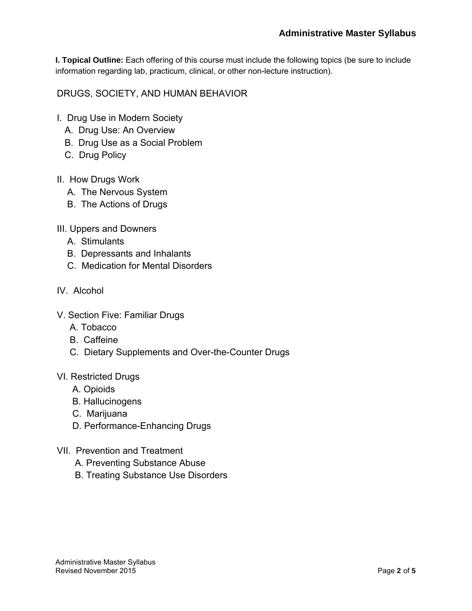**I. Topical Outline:** Each offering of this course must include the following topics (be sure to include information regarding lab, practicum, clinical, or other non-lecture instruction).

DRUGS, SOCIETY, AND HUMAN BEHAVIOR

- I. Drug Use in Modern Society
	- A. Drug Use: An Overview
	- B. Drug Use as a Social Problem
	- C. Drug Policy
- II. How Drugs Work
	- A. The Nervous System
	- B. The Actions of Drugs
- III. Uppers and Downers
	- A. Stimulants
	- B. Depressants and Inhalants
	- C. Medication for Mental Disorders
- IV. Alcohol
- V. Section Five: Familiar Drugs
	- A. Tobacco
	- B. Caffeine
	- C. Dietary Supplements and Over-the-Counter Drugs
- VI. Restricted Drugs
	- A. Opioids
	- B. Hallucinogens
	- C. Marijuana
	- D. Performance-Enhancing Drugs
- VII. Prevention and Treatment
	- A. Preventing Substance Abuse
	- B. Treating Substance Use Disorders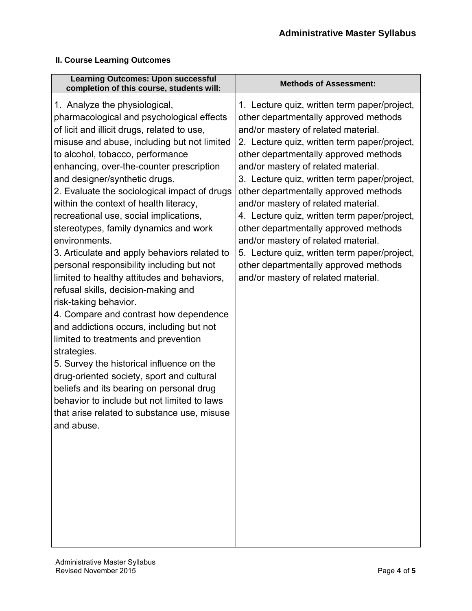## **II. Course Learning Outcomes**

| <b>Learning Outcomes: Upon successful</b><br>completion of this course, students will:                                                                                                                                                                                                                                                                                                                                                                                                                                                                                                                                                                                                                                                                                                                                                                                                                                                                                                                                                                                                             | <b>Methods of Assessment:</b>                                                                                                                                                                                                                                                                                                                                                                                                                                                                                                                                                                                                                                |
|----------------------------------------------------------------------------------------------------------------------------------------------------------------------------------------------------------------------------------------------------------------------------------------------------------------------------------------------------------------------------------------------------------------------------------------------------------------------------------------------------------------------------------------------------------------------------------------------------------------------------------------------------------------------------------------------------------------------------------------------------------------------------------------------------------------------------------------------------------------------------------------------------------------------------------------------------------------------------------------------------------------------------------------------------------------------------------------------------|--------------------------------------------------------------------------------------------------------------------------------------------------------------------------------------------------------------------------------------------------------------------------------------------------------------------------------------------------------------------------------------------------------------------------------------------------------------------------------------------------------------------------------------------------------------------------------------------------------------------------------------------------------------|
| 1. Analyze the physiological,<br>pharmacological and psychological effects<br>of licit and illicit drugs, related to use,<br>misuse and abuse, including but not limited<br>to alcohol, tobacco, performance<br>enhancing, over-the-counter prescription<br>and designer/synthetic drugs.<br>2. Evaluate the sociological impact of drugs<br>within the context of health literacy,<br>recreational use, social implications,<br>stereotypes, family dynamics and work<br>environments.<br>3. Articulate and apply behaviors related to<br>personal responsibility including but not<br>limited to healthy attitudes and behaviors,<br>refusal skills, decision-making and<br>risk-taking behavior.<br>4. Compare and contrast how dependence<br>and addictions occurs, including but not<br>limited to treatments and prevention<br>strategies.<br>5. Survey the historical influence on the<br>drug-oriented society, sport and cultural<br>beliefs and its bearing on personal drug<br>behavior to include but not limited to laws<br>that arise related to substance use, misuse<br>and abuse. | 1. Lecture quiz, written term paper/project,<br>other departmentally approved methods<br>and/or mastery of related material.<br>2. Lecture quiz, written term paper/project,<br>other departmentally approved methods<br>and/or mastery of related material.<br>3. Lecture quiz, written term paper/project,<br>other departmentally approved methods<br>and/or mastery of related material.<br>4. Lecture quiz, written term paper/project,<br>other departmentally approved methods<br>and/or mastery of related material.<br>5. Lecture quiz, written term paper/project,<br>other departmentally approved methods<br>and/or mastery of related material. |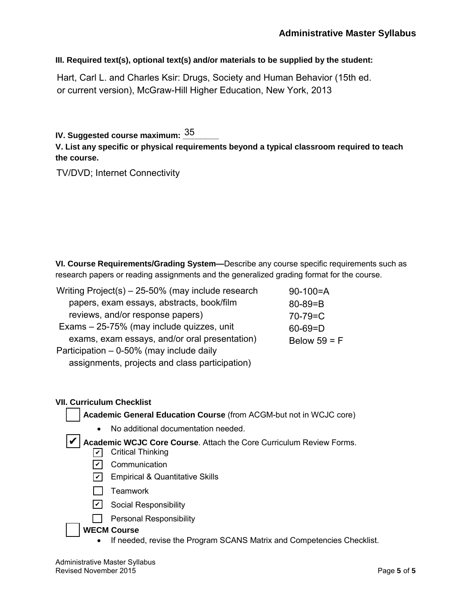**III. Required text(s), optional text(s) and/or materials to be supplied by the student:**

Hart, Carl L. and Charles Ksir: Drugs, Society and Human Behavior (15th ed. or current version), McGraw-Hill Higher Education, New York, 2013

IV. Suggested course maximum: <u><sup>35</sup>\_\_\_\_\_</u>

**V. List any specific or physical requirements beyond a typical classroom required to teach the course.**

TV/DVD; Internet Connectivity

**VI. Course Requirements/Grading System—**Describe any course specific requirements such as research papers or reading assignments and the generalized grading format for the course.

| Writing $Project(s) - 25-50\%$ (may include research | $90-100=A$     |
|------------------------------------------------------|----------------|
| papers, exam essays, abstracts, book/film            | $80 - 89 = B$  |
| reviews, and/or response papers)                     | $70 - 79 = C$  |
| Exams - 25-75% (may include quizzes, unit            | $60 - 69 = D$  |
| exams, exam essays, and/or oral presentation)        | Below $59 = F$ |
| Participation - 0-50% (may include daily             |                |
| assignments, projects and class participation)       |                |

### **VII. Curriculum Checklist**

**Academic General Education Course** (from ACGM-but not in WCJC core)

• No additional documentation needed.

✔ Academic WCJC Core Course. Attach the Core Curriculum Review Forms.

- ✔ Critical Thinking
- <u>✔</u> Communication
- <u>✔</u> Empirical & Quantitative Skills
- $\Box$  Teamwork
- <u>✔</u> Social Responsibility
- $\Box$  Personal Responsibility

### **WECM Course**

• If needed, revise the Program SCANS Matrix and Competencies Checklist.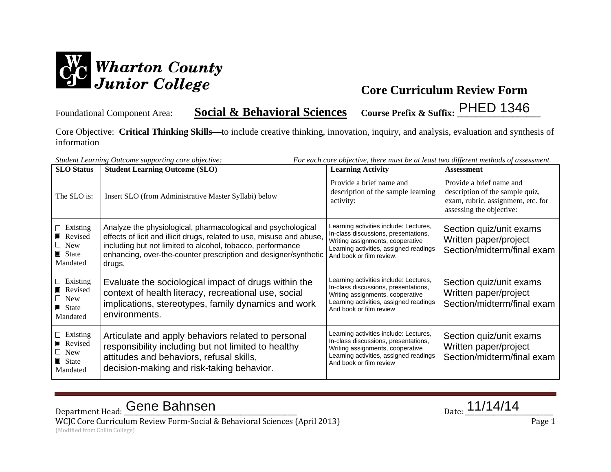

Foundational Component Area: **Social & Behavioral Sciences Course Prefix & Suffix: \_\_\_\_\_\_\_\_\_\_\_\_\_\_\_\_\_\_** PHED 1346

Core Objective: **Critical Thinking Skills—**to include creative thinking, innovation, inquiry, and analysis, evaluation and synthesis of information

| For each core objective, there must be at least two different methods of assessment.<br>Student Learning Outcome supporting core objective: |                                                                                                                                                                                                                                                                                  |                                                                                                                                                                                          |                                                                                                                               |
|---------------------------------------------------------------------------------------------------------------------------------------------|----------------------------------------------------------------------------------------------------------------------------------------------------------------------------------------------------------------------------------------------------------------------------------|------------------------------------------------------------------------------------------------------------------------------------------------------------------------------------------|-------------------------------------------------------------------------------------------------------------------------------|
| <b>SLO</b> Status                                                                                                                           | <b>Student Learning Outcome (SLO)</b>                                                                                                                                                                                                                                            | <b>Learning Activity</b>                                                                                                                                                                 | <b>Assessment</b>                                                                                                             |
| The SLO is:                                                                                                                                 | Insert SLO (from Administrative Master Syllabi) below                                                                                                                                                                                                                            | Provide a brief name and<br>description of the sample learning<br>activity:                                                                                                              | Provide a brief name and<br>description of the sample quiz,<br>exam, rubric, assignment, etc. for<br>assessing the objective: |
| $\Box$ Existing<br>Revised<br>$\Box$ New<br>State State<br>Mandated                                                                         | Analyze the physiological, pharmacological and psychological<br>effects of licit and illicit drugs, related to use, misuse and abuse,<br>including but not limited to alcohol, tobacco, performance<br>enhancing, over-the-counter prescription and designer/synthetic<br>drugs. | Learning activities include: Lectures,<br>In-class discussions, presentations,<br>Writing assignments, cooperative<br>Learning activities, assigned readings<br>And book or film review. | Section quiz/unit exams<br>Written paper/project<br>Section/midterm/final exam                                                |
| $\Box$ Existing<br>Revised<br>$\Box$ New<br>$\blacksquare$ State<br>Mandated                                                                | Evaluate the sociological impact of drugs within the<br>context of health literacy, recreational use, social<br>implications, stereotypes, family dynamics and work<br>environments.                                                                                             | Learning activities include: Lectures,<br>In-class discussions, presentations,<br>Writing assignments, cooperative<br>Learning activities, assigned readings<br>And book or film review  | Section quiz/unit exams<br>Written paper/project<br>Section/midterm/final exam                                                |
| $\Box$ Existing<br>Revised<br>$\Box$ New<br>$\blacksquare$ State<br>Mandated                                                                | Articulate and apply behaviors related to personal<br>responsibility including but not limited to healthy<br>attitudes and behaviors, refusal skills,<br>decision-making and risk-taking behavior.                                                                               | Learning activities include: Lectures,<br>In-class discussions, presentations,<br>Writing assignments, cooperative<br>Learning activities, assigned readings<br>And book or film review  | Section quiz/unit exams<br>Written paper/project<br>Section/midterm/final exam                                                |

Department Head: Cene Bahnsen and Date: 11/14/14 WCJC Core Curriculum Review Form-Social & Behavioral Sciences (April 2013) Page 1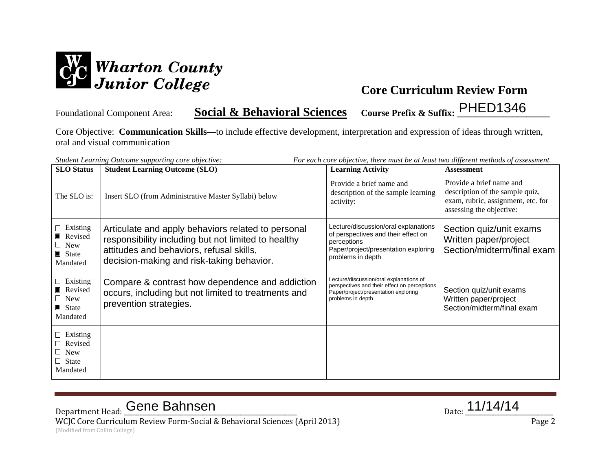

Foundational Component Area: **Social & Behavioral Sciences Course Prefix & Suffix: \_\_\_\_\_\_\_\_\_\_\_\_\_\_\_\_\_\_\_\_** PHED1346

Core Objective: **Communication Skills—**to include effective development, interpretation and expression of ideas through written, oral and visual communication

| Student Learning Outcome supporting core objective:<br><b>Student Learning Outcome (SLO)</b><br><b>SLO</b> Status<br><b>Learning Activity</b> |                                                                                                                                                                                                    |                                                                                                                                                         | For each core objective, there must be at least two different methods of assessment.<br><b>Assessment</b>                     |
|-----------------------------------------------------------------------------------------------------------------------------------------------|----------------------------------------------------------------------------------------------------------------------------------------------------------------------------------------------------|---------------------------------------------------------------------------------------------------------------------------------------------------------|-------------------------------------------------------------------------------------------------------------------------------|
| The SLO is:                                                                                                                                   | Insert SLO (from Administrative Master Syllabi) below                                                                                                                                              | Provide a brief name and<br>description of the sample learning<br>activity:                                                                             | Provide a brief name and<br>description of the sample quiz,<br>exam, rubric, assignment, etc. for<br>assessing the objective: |
| $\Box$ Existing<br>Revised<br>$\Box$ New<br>$\blacksquare$ State<br>Mandated                                                                  | Articulate and apply behaviors related to personal<br>responsibility including but not limited to healthy<br>attitudes and behaviors, refusal skills,<br>decision-making and risk-taking behavior. | Lecture/discussion/oral explanations<br>of perspectives and their effect on<br>perceptions<br>Paper/project/presentation exploring<br>problems in depth | Section quiz/unit exams<br>Written paper/project<br>Section/midterm/final exam                                                |
| $\Box$ Existing<br>Revised<br>$\Box$ New<br>$\blacksquare$ State<br>Mandated                                                                  | Compare & contrast how dependence and addiction<br>occurs, including but not limited to treatments and<br>prevention strategies.                                                                   | Lecture/discussion/oral explanations of<br>perspectives and their effect on perceptions<br>Paper/project/presentation exploring<br>problems in depth    | Section quiz/unit exams<br>Written paper/project<br>Section/midterm/final exam                                                |
| $\Box$ Existing<br>□ Revised<br>$\Box$ New<br>$\Box$ State<br>Mandated                                                                        |                                                                                                                                                                                                    |                                                                                                                                                         |                                                                                                                               |

# Department Head: Cene Bahnsen and Date: 11/14/14

WCJC Core Curriculum Review Form-Social & Behavioral Sciences (April 2013) Page 2 (Modified from Collin College)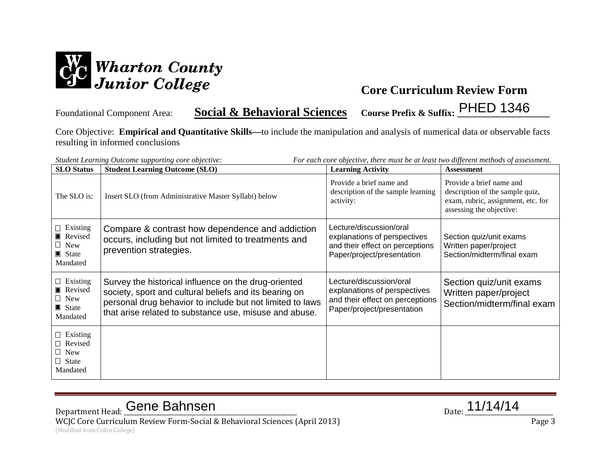

Foundational Component Area: **Social & Behavioral Sciences Course Prefix & Suffix: \_\_\_\_\_\_\_\_\_\_\_\_\_\_\_\_\_\_\_\_** PHED 1346

Core Objective: **Empirical and Quantitative Skills—**to include the manipulation and analysis of numerical data or observable facts resulting in informed conclusions

|                                                                              | For each core objective, there must be at least two different methods of assessment.<br>Student Learning Outcome supporting core objective:                                                                                           |                                                                                                                          |                                                                                                                               |  |  |
|------------------------------------------------------------------------------|---------------------------------------------------------------------------------------------------------------------------------------------------------------------------------------------------------------------------------------|--------------------------------------------------------------------------------------------------------------------------|-------------------------------------------------------------------------------------------------------------------------------|--|--|
| <b>SLO</b> Status                                                            | <b>Student Learning Outcome (SLO)</b>                                                                                                                                                                                                 | <b>Learning Activity</b>                                                                                                 | <b>Assessment</b>                                                                                                             |  |  |
| The SLO is:                                                                  | Insert SLO (from Administrative Master Syllabi) below                                                                                                                                                                                 | Provide a brief name and<br>description of the sample learning<br>activity:                                              | Provide a brief name and<br>description of the sample quiz,<br>exam, rubric, assignment, etc. for<br>assessing the objective: |  |  |
| $\Box$ Existing<br>Revised<br>$\Box$ New<br>$\blacksquare$ State<br>Mandated | Compare & contrast how dependence and addiction<br>occurs, including but not limited to treatments and<br>prevention strategies.                                                                                                      | Lecture/discussion/oral<br>explanations of perspectives<br>and their effect on perceptions<br>Paper/project/presentation | Section quiz/unit exams<br>Written paper/project<br>Section/midterm/final exam                                                |  |  |
| $\Box$ Existing<br>Revised<br>$\Box$ New<br>$\blacksquare$ State<br>Mandated | Survey the historical influence on the drug-oriented<br>society, sport and cultural beliefs and its bearing on<br>personal drug behavior to include but not limited to laws<br>that arise related to substance use, misuse and abuse. | Lecture/discussion/oral<br>explanations of perspectives<br>and their effect on perceptions<br>Paper/project/presentation | Section quiz/unit exams<br>Written paper/project<br>Section/midterm/final exam                                                |  |  |
| $\Box$ Existing<br>$\Box$ Revised<br>$\Box$ New<br>$\Box$ State<br>Mandated  |                                                                                                                                                                                                                                       |                                                                                                                          |                                                                                                                               |  |  |

Department Head: Cene Bahnsen and Date: 11/14/14

WCJC Core Curriculum Review Form-Social & Behavioral Sciences (April 2013) Page 3 (Modified from Collin College)